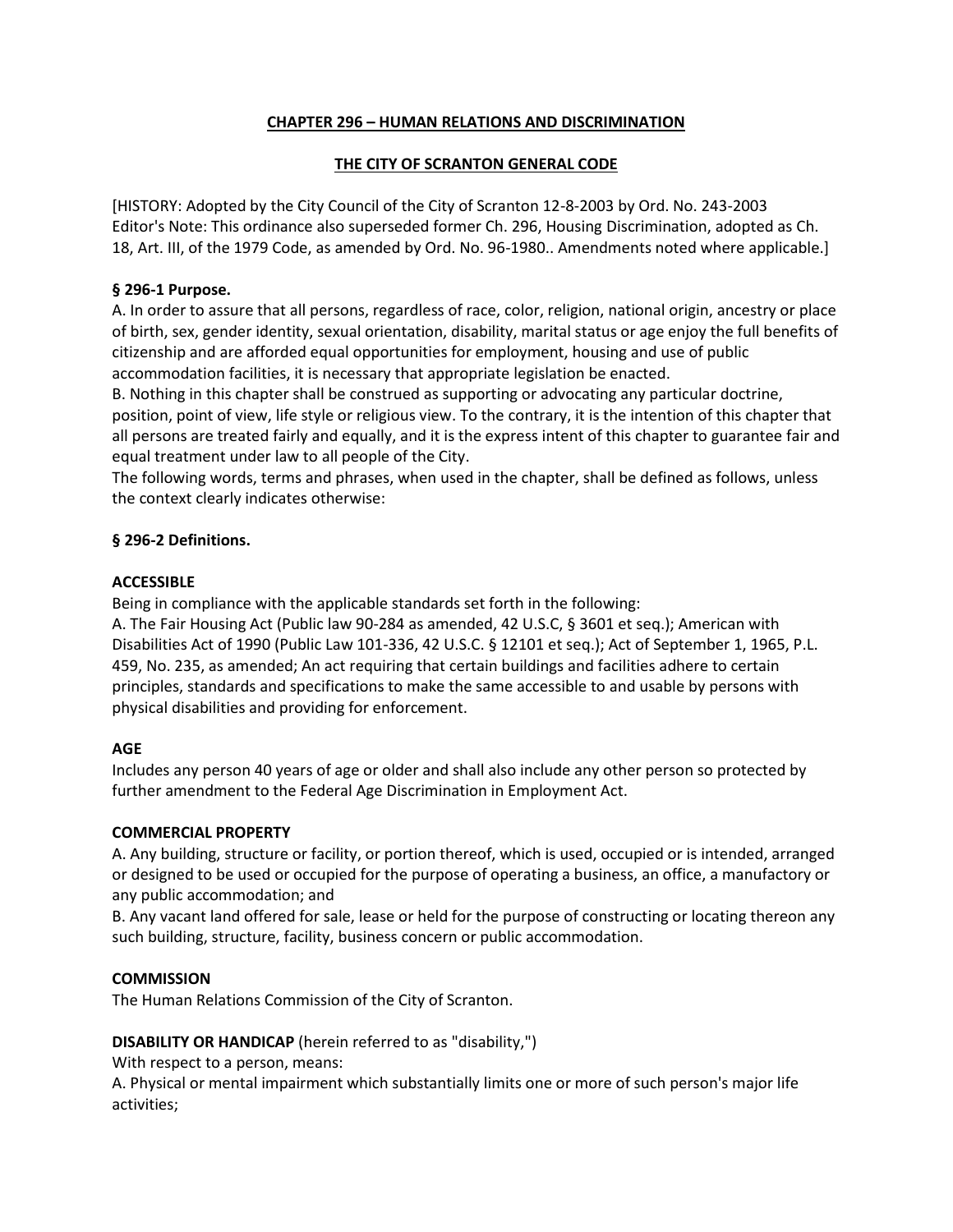# **CHAPTER 296 – HUMAN RELATIONS AND DISCRIMINATION**

# **THE CITY OF SCRANTON GENERAL CODE**

[HISTORY: Adopted by the City Council of the City of Scranton 12-8-2003 by Ord. No. 243-2003 Editor's Note: This ordinance also superseded former Ch. 296, Housing Discrimination, adopted as Ch. 18, Art. III, of the 1979 Code, as amended by Ord. No. 96-1980.. Amendments noted where applicable.]

### **§ 296-1 Purpose.**

A. In order to assure that all persons, regardless of race, color, religion, national origin, ancestry or place of birth, sex, gender identity, sexual orientation, disability, marital status or age enjoy the full benefits of citizenship and are afforded equal opportunities for employment, housing and use of public accommodation facilities, it is necessary that appropriate legislation be enacted.

B. Nothing in this chapter shall be construed as supporting or advocating any particular doctrine, position, point of view, life style or religious view. To the contrary, it is the intention of this chapter that all persons are treated fairly and equally, and it is the express intent of this chapter to guarantee fair and equal treatment under law to all people of the City.

The following words, terms and phrases, when used in the chapter, shall be defined as follows, unless the context clearly indicates otherwise:

# **§ 296-2 Definitions.**

#### **ACCESSIBLE**

Being in compliance with the applicable standards set forth in the following:

A. The Fair Housing Act (Public law 90-284 as amended, 42 U.S.C, § 3601 et seq.); American with Disabilities Act of 1990 (Public Law 101-336, 42 U.S.C. § 12101 et seq.); Act of September 1, 1965, P.L. 459, No. 235, as amended; An act requiring that certain buildings and facilities adhere to certain principles, standards and specifications to make the same accessible to and usable by persons with physical disabilities and providing for enforcement.

#### **AGE**

Includes any person 40 years of age or older and shall also include any other person so protected by further amendment to the Federal Age Discrimination in Employment Act.

#### **COMMERCIAL PROPERTY**

A. Any building, structure or facility, or portion thereof, which is used, occupied or is intended, arranged or designed to be used or occupied for the purpose of operating a business, an office, a manufactory or any public accommodation; and

B. Any vacant land offered for sale, lease or held for the purpose of constructing or locating thereon any such building, structure, facility, business concern or public accommodation.

# **COMMISSION**

The Human Relations Commission of the City of Scranton.

# **DISABILITY OR HANDICAP** (herein referred to as "disability,")

With respect to a person, means:

A. Physical or mental impairment which substantially limits one or more of such person's major life activities;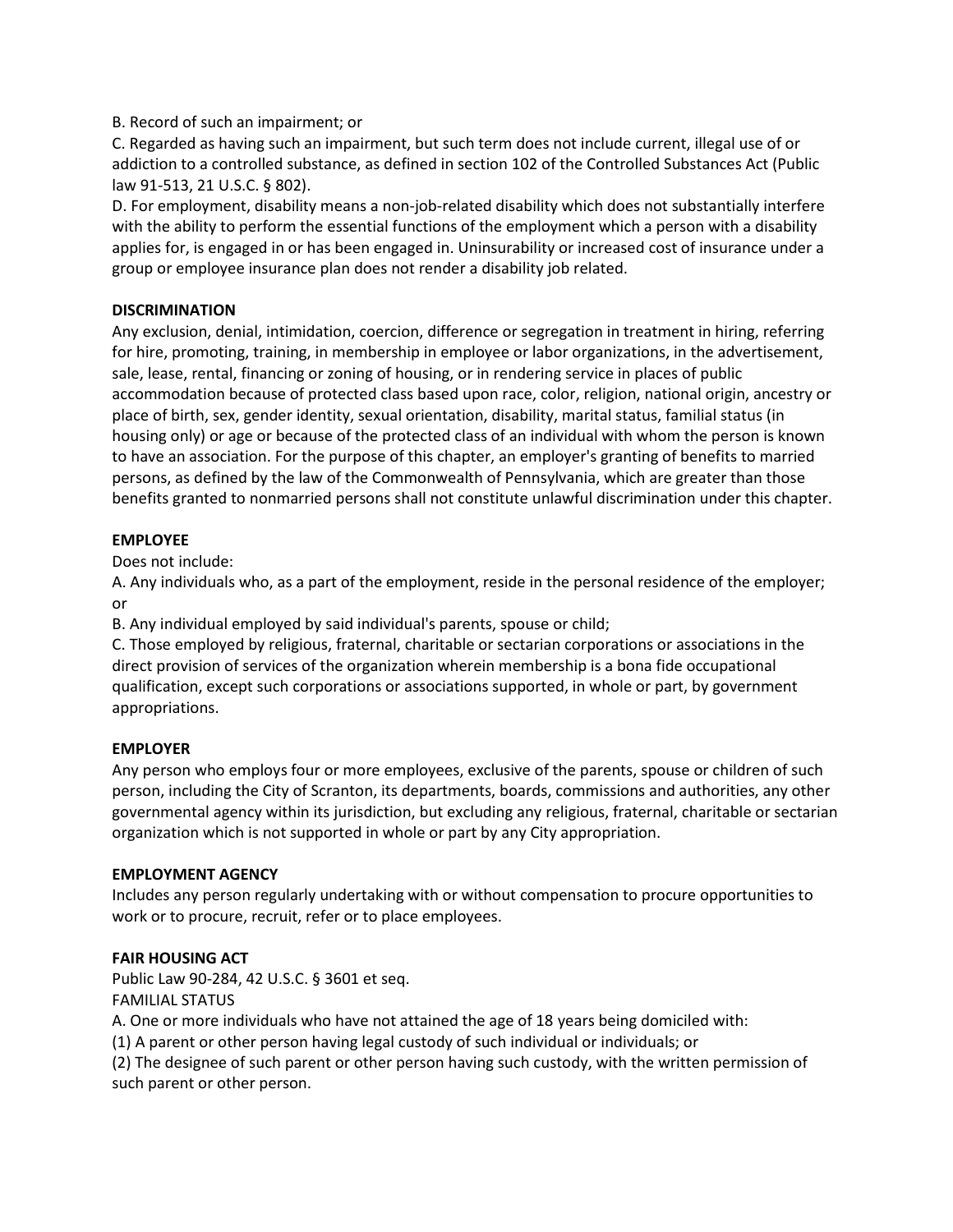# B. Record of such an impairment; or

C. Regarded as having such an impairment, but such term does not include current, illegal use of or addiction to a controlled substance, as defined in section 102 of the Controlled Substances Act (Public law 91-513, 21 U.S.C. § 802).

D. For employment, disability means a non-job-related disability which does not substantially interfere with the ability to perform the essential functions of the employment which a person with a disability applies for, is engaged in or has been engaged in. Uninsurability or increased cost of insurance under a group or employee insurance plan does not render a disability job related.

# **DISCRIMINATION**

Any exclusion, denial, intimidation, coercion, difference or segregation in treatment in hiring, referring for hire, promoting, training, in membership in employee or labor organizations, in the advertisement, sale, lease, rental, financing or zoning of housing, or in rendering service in places of public accommodation because of protected class based upon race, color, religion, national origin, ancestry or place of birth, sex, gender identity, sexual orientation, disability, marital status, familial status (in housing only) or age or because of the protected class of an individual with whom the person is known to have an association. For the purpose of this chapter, an employer's granting of benefits to married persons, as defined by the law of the Commonwealth of Pennsylvania, which are greater than those benefits granted to nonmarried persons shall not constitute unlawful discrimination under this chapter.

# **EMPLOYEE**

Does not include:

A. Any individuals who, as a part of the employment, reside in the personal residence of the employer; or

B. Any individual employed by said individual's parents, spouse or child;

C. Those employed by religious, fraternal, charitable or sectarian corporations or associations in the direct provision of services of the organization wherein membership is a bona fide occupational qualification, except such corporations or associations supported, in whole or part, by government appropriations.

# **EMPLOYER**

Any person who employs four or more employees, exclusive of the parents, spouse or children of such person, including the City of Scranton, its departments, boards, commissions and authorities, any other governmental agency within its jurisdiction, but excluding any religious, fraternal, charitable or sectarian organization which is not supported in whole or part by any City appropriation.

# **EMPLOYMENT AGENCY**

Includes any person regularly undertaking with or without compensation to procure opportunities to work or to procure, recruit, refer or to place employees.

# **FAIR HOUSING ACT**

Public Law 90-284, 42 U.S.C. § 3601 et seq.

FAMILIAL STATUS

A. One or more individuals who have not attained the age of 18 years being domiciled with:

(1) A parent or other person having legal custody of such individual or individuals; or

(2) The designee of such parent or other person having such custody, with the written permission of such parent or other person.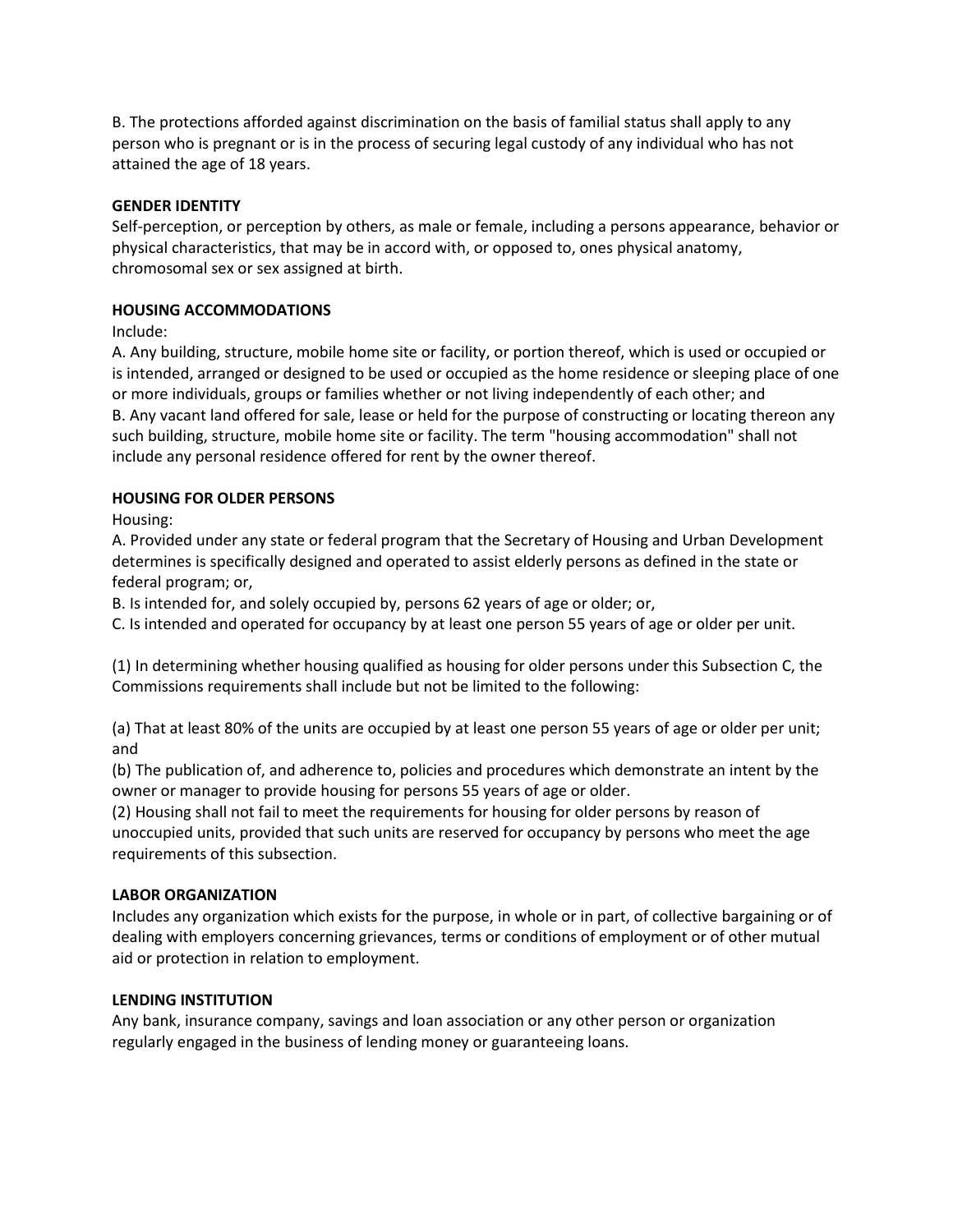B. The protections afforded against discrimination on the basis of familial status shall apply to any person who is pregnant or is in the process of securing legal custody of any individual who has not attained the age of 18 years.

# **GENDER IDENTITY**

Self-perception, or perception by others, as male or female, including a persons appearance, behavior or physical characteristics, that may be in accord with, or opposed to, ones physical anatomy, chromosomal sex or sex assigned at birth.

# **HOUSING ACCOMMODATIONS**

Include:

A. Any building, structure, mobile home site or facility, or portion thereof, which is used or occupied or is intended, arranged or designed to be used or occupied as the home residence or sleeping place of one or more individuals, groups or families whether or not living independently of each other; and B. Any vacant land offered for sale, lease or held for the purpose of constructing or locating thereon any such building, structure, mobile home site or facility. The term "housing accommodation" shall not include any personal residence offered for rent by the owner thereof.

# **HOUSING FOR OLDER PERSONS**

Housing:

A. Provided under any state or federal program that the Secretary of Housing and Urban Development determines is specifically designed and operated to assist elderly persons as defined in the state or federal program; or,

B. Is intended for, and solely occupied by, persons 62 years of age or older; or,

C. Is intended and operated for occupancy by at least one person 55 years of age or older per unit.

(1) In determining whether housing qualified as housing for older persons under this Subsection C, the Commissions requirements shall include but not be limited to the following:

(a) That at least 80% of the units are occupied by at least one person 55 years of age or older per unit; and

(b) The publication of, and adherence to, policies and procedures which demonstrate an intent by the owner or manager to provide housing for persons 55 years of age or older.

(2) Housing shall not fail to meet the requirements for housing for older persons by reason of unoccupied units, provided that such units are reserved for occupancy by persons who meet the age requirements of this subsection.

# **LABOR ORGANIZATION**

Includes any organization which exists for the purpose, in whole or in part, of collective bargaining or of dealing with employers concerning grievances, terms or conditions of employment or of other mutual aid or protection in relation to employment.

# **LENDING INSTITUTION**

Any bank, insurance company, savings and loan association or any other person or organization regularly engaged in the business of lending money or guaranteeing loans.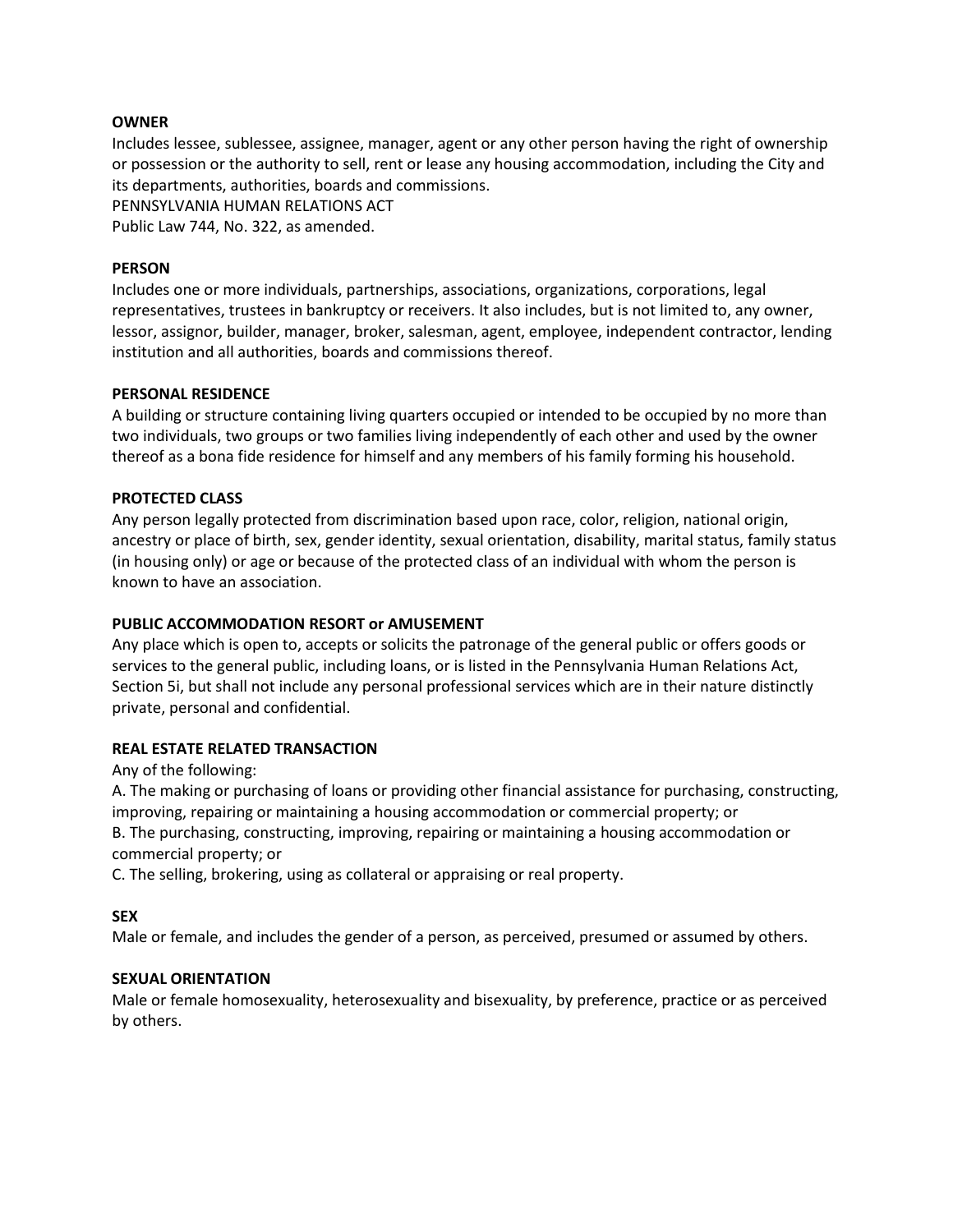#### **OWNER**

Includes lessee, sublessee, assignee, manager, agent or any other person having the right of ownership or possession or the authority to sell, rent or lease any housing accommodation, including the City and its departments, authorities, boards and commissions. PENNSYLVANIA HUMAN RELATIONS ACT Public Law 744, No. 322, as amended.

#### **PERSON**

Includes one or more individuals, partnerships, associations, organizations, corporations, legal representatives, trustees in bankruptcy or receivers. It also includes, but is not limited to, any owner, lessor, assignor, builder, manager, broker, salesman, agent, employee, independent contractor, lending institution and all authorities, boards and commissions thereof.

#### **PERSONAL RESIDENCE**

A building or structure containing living quarters occupied or intended to be occupied by no more than two individuals, two groups or two families living independently of each other and used by the owner thereof as a bona fide residence for himself and any members of his family forming his household.

#### **PROTECTED CLASS**

Any person legally protected from discrimination based upon race, color, religion, national origin, ancestry or place of birth, sex, gender identity, sexual orientation, disability, marital status, family status (in housing only) or age or because of the protected class of an individual with whom the person is known to have an association.

### **PUBLIC ACCOMMODATION RESORT or AMUSEMENT**

Any place which is open to, accepts or solicits the patronage of the general public or offers goods or services to the general public, including loans, or is listed in the Pennsylvania Human Relations Act, Section 5i, but shall not include any personal professional services which are in their nature distinctly private, personal and confidential.

# **REAL ESTATE RELATED TRANSACTION**

Any of the following:

A. The making or purchasing of loans or providing other financial assistance for purchasing, constructing, improving, repairing or maintaining a housing accommodation or commercial property; or B. The purchasing, constructing, improving, repairing or maintaining a housing accommodation or commercial property; or

C. The selling, brokering, using as collateral or appraising or real property.

# **SEX**

Male or female, and includes the gender of a person, as perceived, presumed or assumed by others.

#### **SEXUAL ORIENTATION**

Male or female homosexuality, heterosexuality and bisexuality, by preference, practice or as perceived by others.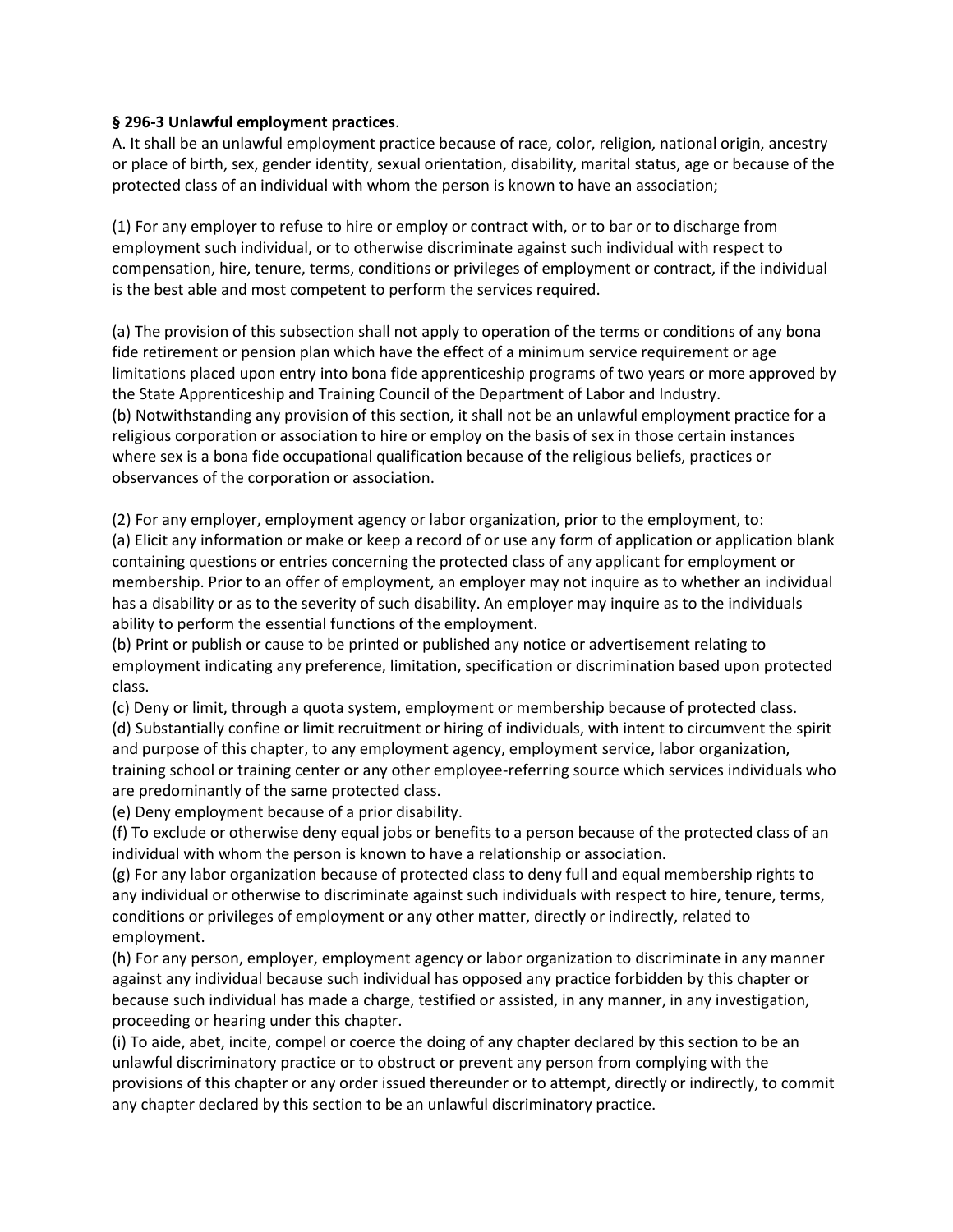### **§ 296-3 Unlawful employment practices**.

A. It shall be an unlawful employment practice because of race, color, religion, national origin, ancestry or place of birth, sex, gender identity, sexual orientation, disability, marital status, age or because of the protected class of an individual with whom the person is known to have an association;

(1) For any employer to refuse to hire or employ or contract with, or to bar or to discharge from employment such individual, or to otherwise discriminate against such individual with respect to compensation, hire, tenure, terms, conditions or privileges of employment or contract, if the individual is the best able and most competent to perform the services required.

(a) The provision of this subsection shall not apply to operation of the terms or conditions of any bona fide retirement or pension plan which have the effect of a minimum service requirement or age limitations placed upon entry into bona fide apprenticeship programs of two years or more approved by the State Apprenticeship and Training Council of the Department of Labor and Industry. (b) Notwithstanding any provision of this section, it shall not be an unlawful employment practice for a religious corporation or association to hire or employ on the basis of sex in those certain instances where sex is a bona fide occupational qualification because of the religious beliefs, practices or observances of the corporation or association.

(2) For any employer, employment agency or labor organization, prior to the employment, to: (a) Elicit any information or make or keep a record of or use any form of application or application blank containing questions or entries concerning the protected class of any applicant for employment or membership. Prior to an offer of employment, an employer may not inquire as to whether an individual has a disability or as to the severity of such disability. An employer may inquire as to the individuals ability to perform the essential functions of the employment.

(b) Print or publish or cause to be printed or published any notice or advertisement relating to employment indicating any preference, limitation, specification or discrimination based upon protected class.

(c) Deny or limit, through a quota system, employment or membership because of protected class. (d) Substantially confine or limit recruitment or hiring of individuals, with intent to circumvent the spirit and purpose of this chapter, to any employment agency, employment service, labor organization, training school or training center or any other employee-referring source which services individuals who are predominantly of the same protected class.

(e) Deny employment because of a prior disability.

(f) To exclude or otherwise deny equal jobs or benefits to a person because of the protected class of an individual with whom the person is known to have a relationship or association.

(g) For any labor organization because of protected class to deny full and equal membership rights to any individual or otherwise to discriminate against such individuals with respect to hire, tenure, terms, conditions or privileges of employment or any other matter, directly or indirectly, related to employment.

(h) For any person, employer, employment agency or labor organization to discriminate in any manner against any individual because such individual has opposed any practice forbidden by this chapter or because such individual has made a charge, testified or assisted, in any manner, in any investigation, proceeding or hearing under this chapter.

(i) To aide, abet, incite, compel or coerce the doing of any chapter declared by this section to be an unlawful discriminatory practice or to obstruct or prevent any person from complying with the provisions of this chapter or any order issued thereunder or to attempt, directly or indirectly, to commit any chapter declared by this section to be an unlawful discriminatory practice.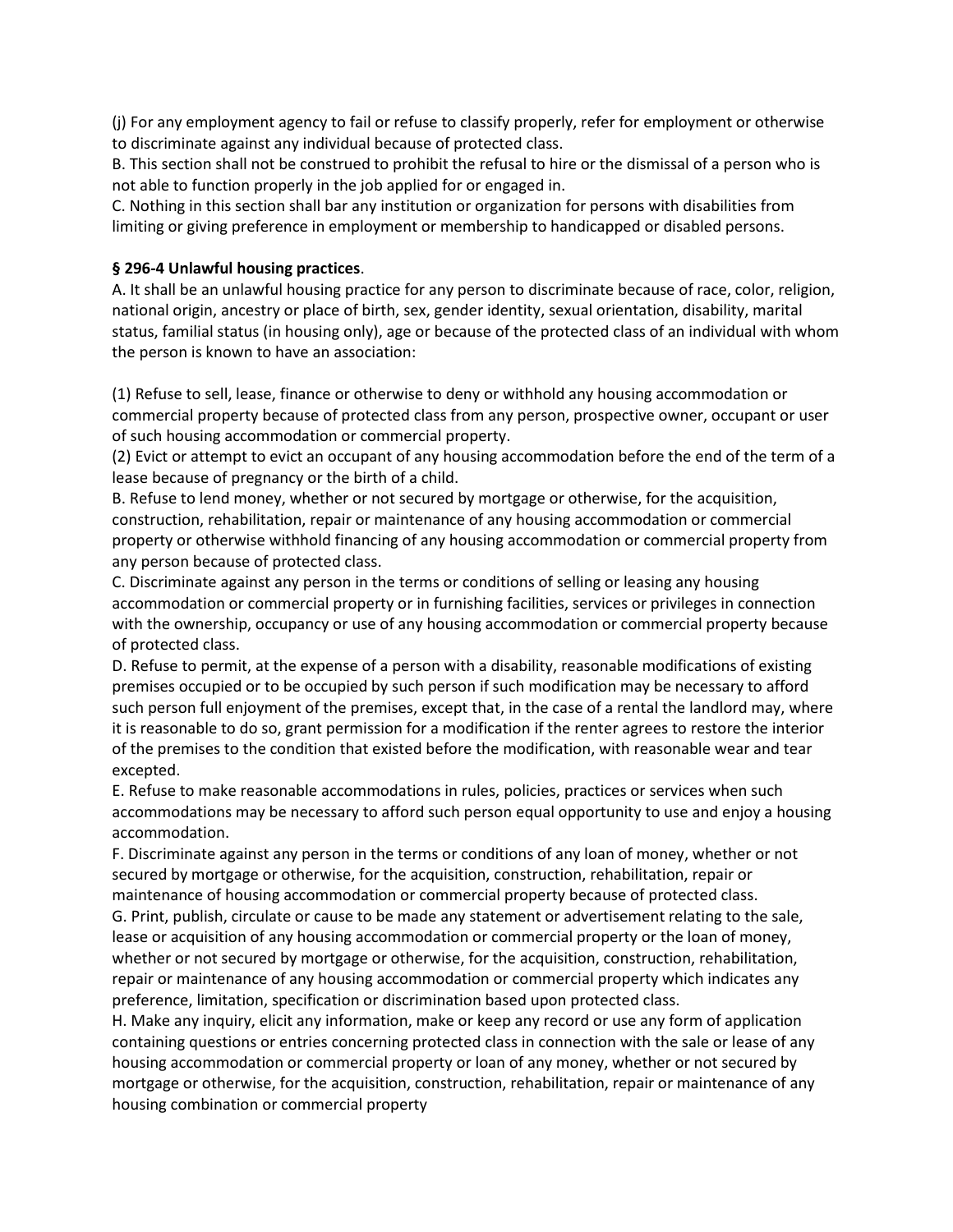(j) For any employment agency to fail or refuse to classify properly, refer for employment or otherwise to discriminate against any individual because of protected class.

B. This section shall not be construed to prohibit the refusal to hire or the dismissal of a person who is not able to function properly in the job applied for or engaged in.

C. Nothing in this section shall bar any institution or organization for persons with disabilities from limiting or giving preference in employment or membership to handicapped or disabled persons.

# **§ 296-4 Unlawful housing practices**.

A. It shall be an unlawful housing practice for any person to discriminate because of race, color, religion, national origin, ancestry or place of birth, sex, gender identity, sexual orientation, disability, marital status, familial status (in housing only), age or because of the protected class of an individual with whom the person is known to have an association:

(1) Refuse to sell, lease, finance or otherwise to deny or withhold any housing accommodation or commercial property because of protected class from any person, prospective owner, occupant or user of such housing accommodation or commercial property.

(2) Evict or attempt to evict an occupant of any housing accommodation before the end of the term of a lease because of pregnancy or the birth of a child.

B. Refuse to lend money, whether or not secured by mortgage or otherwise, for the acquisition, construction, rehabilitation, repair or maintenance of any housing accommodation or commercial property or otherwise withhold financing of any housing accommodation or commercial property from any person because of protected class.

C. Discriminate against any person in the terms or conditions of selling or leasing any housing accommodation or commercial property or in furnishing facilities, services or privileges in connection with the ownership, occupancy or use of any housing accommodation or commercial property because of protected class.

D. Refuse to permit, at the expense of a person with a disability, reasonable modifications of existing premises occupied or to be occupied by such person if such modification may be necessary to afford such person full enjoyment of the premises, except that, in the case of a rental the landlord may, where it is reasonable to do so, grant permission for a modification if the renter agrees to restore the interior of the premises to the condition that existed before the modification, with reasonable wear and tear excepted.

E. Refuse to make reasonable accommodations in rules, policies, practices or services when such accommodations may be necessary to afford such person equal opportunity to use and enjoy a housing accommodation.

F. Discriminate against any person in the terms or conditions of any loan of money, whether or not secured by mortgage or otherwise, for the acquisition, construction, rehabilitation, repair or maintenance of housing accommodation or commercial property because of protected class. G. Print, publish, circulate or cause to be made any statement or advertisement relating to the sale, lease or acquisition of any housing accommodation or commercial property or the loan of money, whether or not secured by mortgage or otherwise, for the acquisition, construction, rehabilitation, repair or maintenance of any housing accommodation or commercial property which indicates any preference, limitation, specification or discrimination based upon protected class.

H. Make any inquiry, elicit any information, make or keep any record or use any form of application containing questions or entries concerning protected class in connection with the sale or lease of any housing accommodation or commercial property or loan of any money, whether or not secured by mortgage or otherwise, for the acquisition, construction, rehabilitation, repair or maintenance of any housing combination or commercial property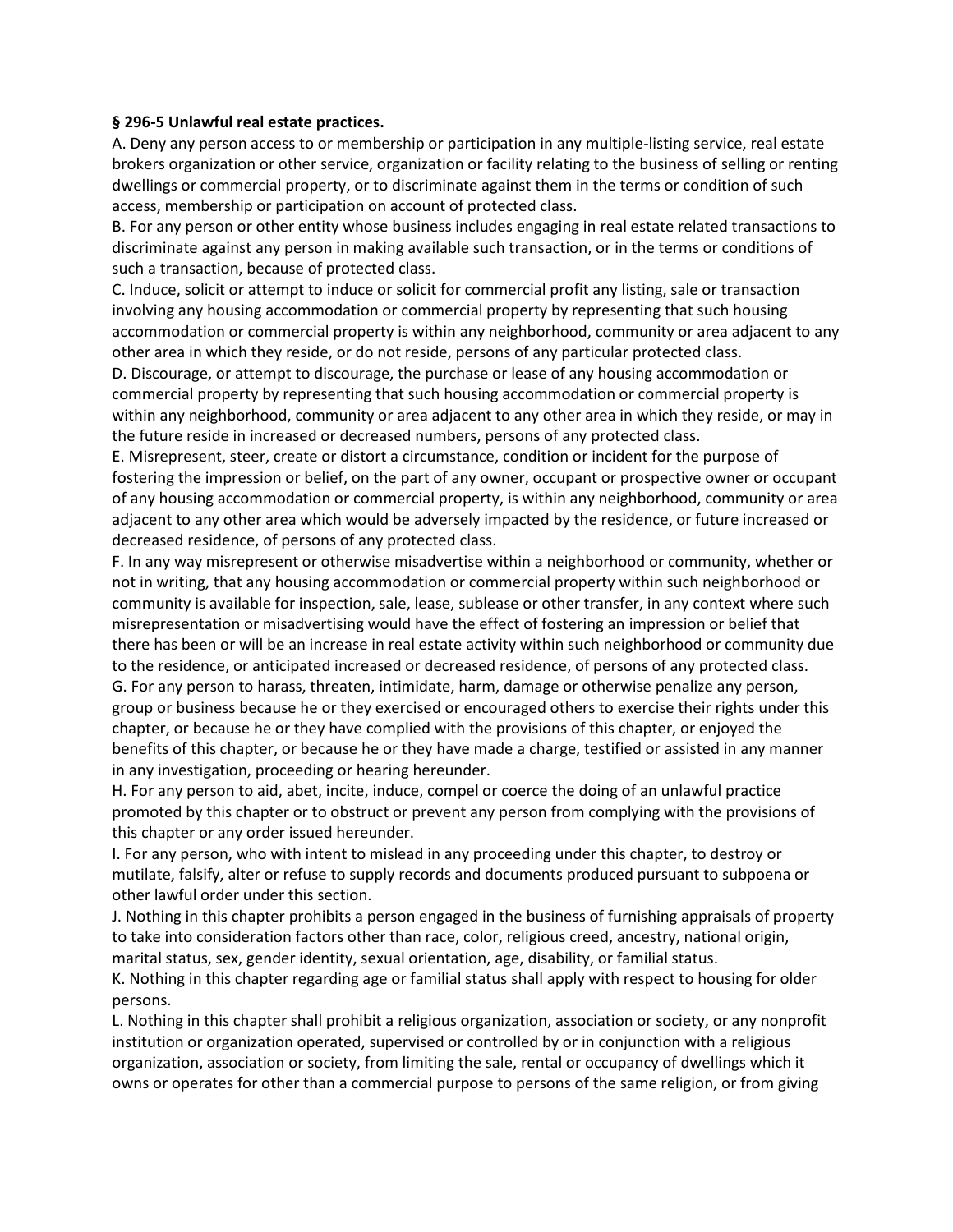#### **§ 296-5 Unlawful real estate practices.**

A. Deny any person access to or membership or participation in any multiple-listing service, real estate brokers organization or other service, organization or facility relating to the business of selling or renting dwellings or commercial property, or to discriminate against them in the terms or condition of such access, membership or participation on account of protected class.

B. For any person or other entity whose business includes engaging in real estate related transactions to discriminate against any person in making available such transaction, or in the terms or conditions of such a transaction, because of protected class.

C. Induce, solicit or attempt to induce or solicit for commercial profit any listing, sale or transaction involving any housing accommodation or commercial property by representing that such housing accommodation or commercial property is within any neighborhood, community or area adjacent to any other area in which they reside, or do not reside, persons of any particular protected class.

D. Discourage, or attempt to discourage, the purchase or lease of any housing accommodation or commercial property by representing that such housing accommodation or commercial property is within any neighborhood, community or area adjacent to any other area in which they reside, or may in the future reside in increased or decreased numbers, persons of any protected class.

E. Misrepresent, steer, create or distort a circumstance, condition or incident for the purpose of fostering the impression or belief, on the part of any owner, occupant or prospective owner or occupant of any housing accommodation or commercial property, is within any neighborhood, community or area adjacent to any other area which would be adversely impacted by the residence, or future increased or decreased residence, of persons of any protected class.

F. In any way misrepresent or otherwise misadvertise within a neighborhood or community, whether or not in writing, that any housing accommodation or commercial property within such neighborhood or community is available for inspection, sale, lease, sublease or other transfer, in any context where such misrepresentation or misadvertising would have the effect of fostering an impression or belief that there has been or will be an increase in real estate activity within such neighborhood or community due to the residence, or anticipated increased or decreased residence, of persons of any protected class. G. For any person to harass, threaten, intimidate, harm, damage or otherwise penalize any person, group or business because he or they exercised or encouraged others to exercise their rights under this chapter, or because he or they have complied with the provisions of this chapter, or enjoyed the benefits of this chapter, or because he or they have made a charge, testified or assisted in any manner in any investigation, proceeding or hearing hereunder.

H. For any person to aid, abet, incite, induce, compel or coerce the doing of an unlawful practice promoted by this chapter or to obstruct or prevent any person from complying with the provisions of this chapter or any order issued hereunder.

I. For any person, who with intent to mislead in any proceeding under this chapter, to destroy or mutilate, falsify, alter or refuse to supply records and documents produced pursuant to subpoena or other lawful order under this section.

J. Nothing in this chapter prohibits a person engaged in the business of furnishing appraisals of property to take into consideration factors other than race, color, religious creed, ancestry, national origin, marital status, sex, gender identity, sexual orientation, age, disability, or familial status.

K. Nothing in this chapter regarding age or familial status shall apply with respect to housing for older persons.

L. Nothing in this chapter shall prohibit a religious organization, association or society, or any nonprofit institution or organization operated, supervised or controlled by or in conjunction with a religious organization, association or society, from limiting the sale, rental or occupancy of dwellings which it owns or operates for other than a commercial purpose to persons of the same religion, or from giving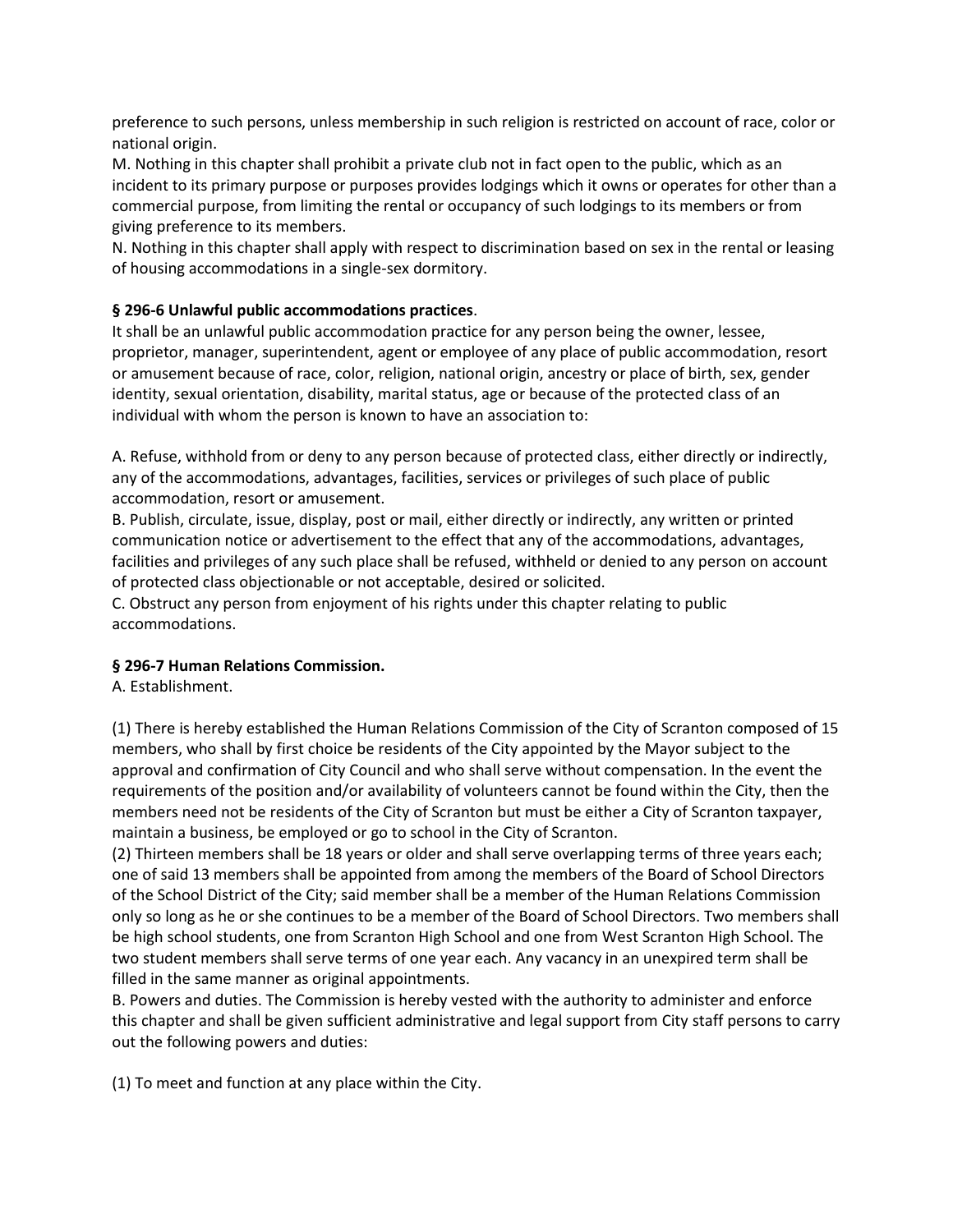preference to such persons, unless membership in such religion is restricted on account of race, color or national origin.

M. Nothing in this chapter shall prohibit a private club not in fact open to the public, which as an incident to its primary purpose or purposes provides lodgings which it owns or operates for other than a commercial purpose, from limiting the rental or occupancy of such lodgings to its members or from giving preference to its members.

N. Nothing in this chapter shall apply with respect to discrimination based on sex in the rental or leasing of housing accommodations in a single-sex dormitory.

# **§ 296-6 Unlawful public accommodations practices**.

It shall be an unlawful public accommodation practice for any person being the owner, lessee, proprietor, manager, superintendent, agent or employee of any place of public accommodation, resort or amusement because of race, color, religion, national origin, ancestry or place of birth, sex, gender identity, sexual orientation, disability, marital status, age or because of the protected class of an individual with whom the person is known to have an association to:

A. Refuse, withhold from or deny to any person because of protected class, either directly or indirectly, any of the accommodations, advantages, facilities, services or privileges of such place of public accommodation, resort or amusement.

B. Publish, circulate, issue, display, post or mail, either directly or indirectly, any written or printed communication notice or advertisement to the effect that any of the accommodations, advantages, facilities and privileges of any such place shall be refused, withheld or denied to any person on account of protected class objectionable or not acceptable, desired or solicited.

C. Obstruct any person from enjoyment of his rights under this chapter relating to public accommodations.

# **§ 296-7 Human Relations Commission.**

A. Establishment.

(1) There is hereby established the Human Relations Commission of the City of Scranton composed of 15 members, who shall by first choice be residents of the City appointed by the Mayor subject to the approval and confirmation of City Council and who shall serve without compensation. In the event the requirements of the position and/or availability of volunteers cannot be found within the City, then the members need not be residents of the City of Scranton but must be either a City of Scranton taxpayer, maintain a business, be employed or go to school in the City of Scranton.

(2) Thirteen members shall be 18 years or older and shall serve overlapping terms of three years each; one of said 13 members shall be appointed from among the members of the Board of School Directors of the School District of the City; said member shall be a member of the Human Relations Commission only so long as he or she continues to be a member of the Board of School Directors. Two members shall be high school students, one from Scranton High School and one from West Scranton High School. The two student members shall serve terms of one year each. Any vacancy in an unexpired term shall be filled in the same manner as original appointments.

B. Powers and duties. The Commission is hereby vested with the authority to administer and enforce this chapter and shall be given sufficient administrative and legal support from City staff persons to carry out the following powers and duties:

(1) To meet and function at any place within the City.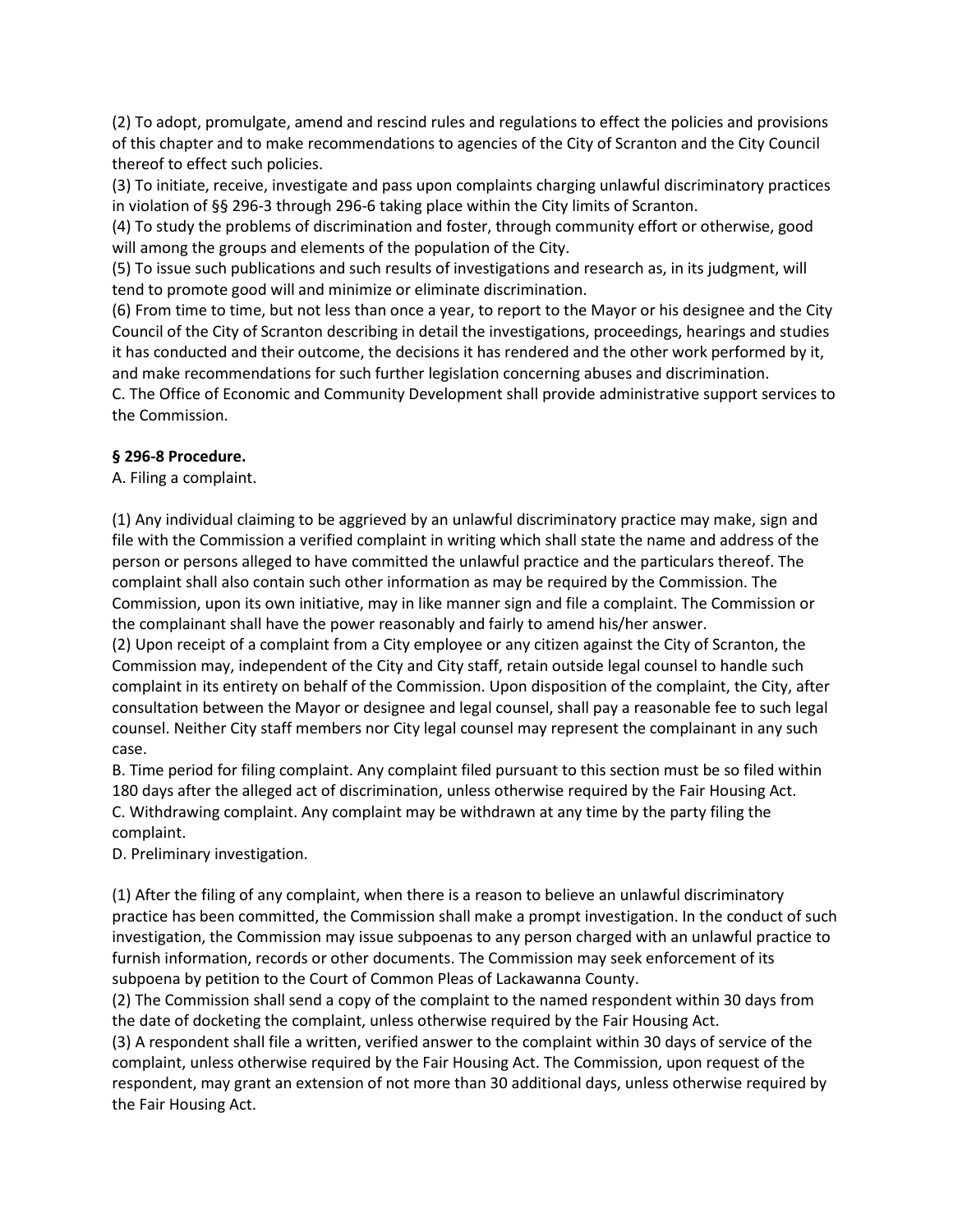(2) To adopt, promulgate, amend and rescind rules and regulations to effect the policies and provisions of this chapter and to make recommendations to agencies of the City of Scranton and the City Council thereof to effect such policies.

(3) To initiate, receive, investigate and pass upon complaints charging unlawful discriminatory practices in violation of §§ 296-3 through 296-6 taking place within the City limits of Scranton.

(4) To study the problems of discrimination and foster, through community effort or otherwise, good will among the groups and elements of the population of the City.

(5) To issue such publications and such results of investigations and research as, in its judgment, will tend to promote good will and minimize or eliminate discrimination.

(6) From time to time, but not less than once a year, to report to the Mayor or his designee and the City Council of the City of Scranton describing in detail the investigations, proceedings, hearings and studies it has conducted and their outcome, the decisions it has rendered and the other work performed by it, and make recommendations for such further legislation concerning abuses and discrimination.

C. The Office of Economic and Community Development shall provide administrative support services to the Commission.

# **§ 296-8 Procedure.**

A. Filing a complaint.

(1) Any individual claiming to be aggrieved by an unlawful discriminatory practice may make, sign and file with the Commission a verified complaint in writing which shall state the name and address of the person or persons alleged to have committed the unlawful practice and the particulars thereof. The complaint shall also contain such other information as may be required by the Commission. The Commission, upon its own initiative, may in like manner sign and file a complaint. The Commission or the complainant shall have the power reasonably and fairly to amend his/her answer.

(2) Upon receipt of a complaint from a City employee or any citizen against the City of Scranton, the Commission may, independent of the City and City staff, retain outside legal counsel to handle such complaint in its entirety on behalf of the Commission. Upon disposition of the complaint, the City, after consultation between the Mayor or designee and legal counsel, shall pay a reasonable fee to such legal counsel. Neither City staff members nor City legal counsel may represent the complainant in any such case.

B. Time period for filing complaint. Any complaint filed pursuant to this section must be so filed within 180 days after the alleged act of discrimination, unless otherwise required by the Fair Housing Act. C. Withdrawing complaint. Any complaint may be withdrawn at any time by the party filing the complaint.

D. Preliminary investigation.

(1) After the filing of any complaint, when there is a reason to believe an unlawful discriminatory practice has been committed, the Commission shall make a prompt investigation. In the conduct of such investigation, the Commission may issue subpoenas to any person charged with an unlawful practice to furnish information, records or other documents. The Commission may seek enforcement of its subpoena by petition to the Court of Common Pleas of Lackawanna County.

(2) The Commission shall send a copy of the complaint to the named respondent within 30 days from the date of docketing the complaint, unless otherwise required by the Fair Housing Act.

(3) A respondent shall file a written, verified answer to the complaint within 30 days of service of the complaint, unless otherwise required by the Fair Housing Act. The Commission, upon request of the respondent, may grant an extension of not more than 30 additional days, unless otherwise required by the Fair Housing Act.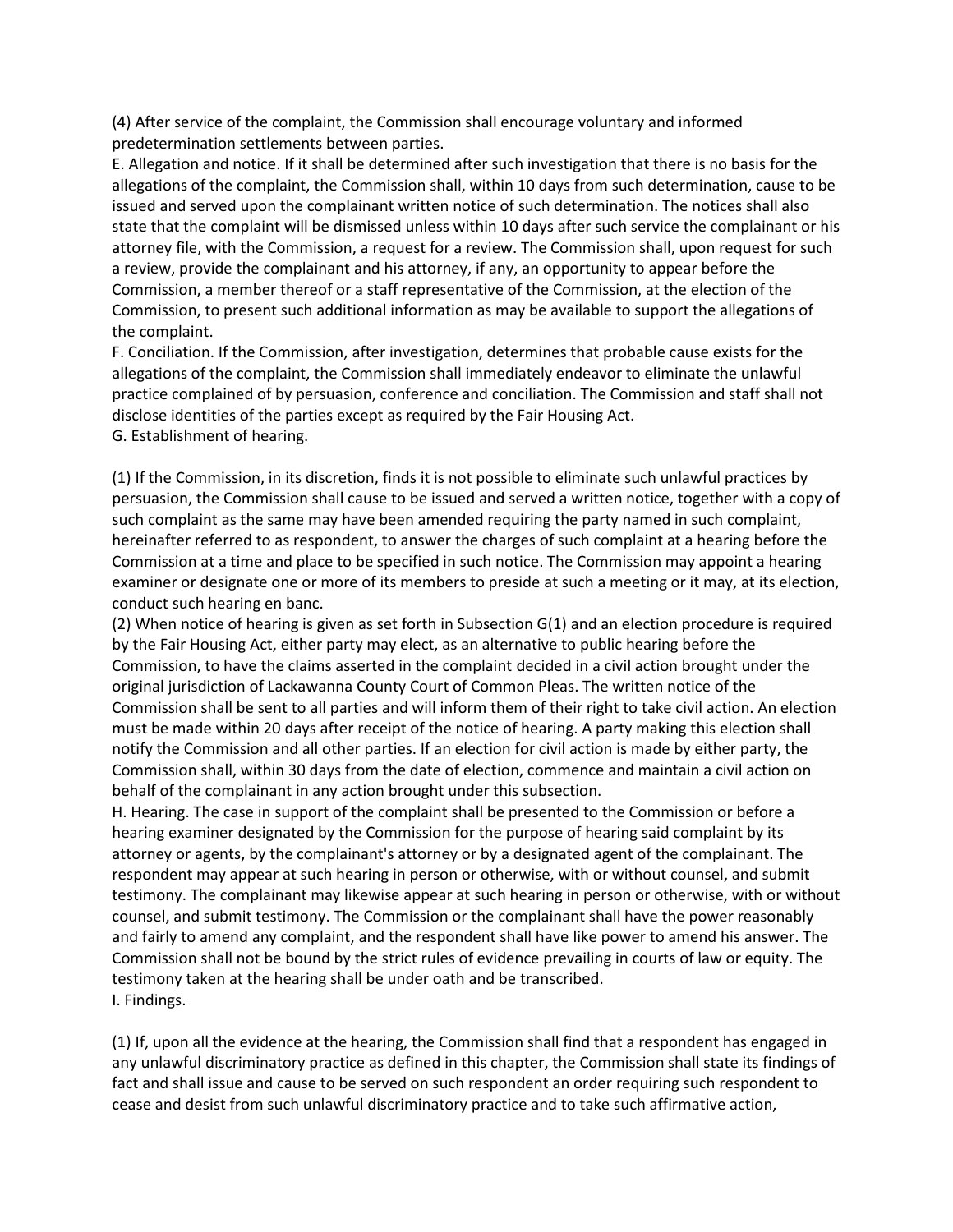(4) After service of the complaint, the Commission shall encourage voluntary and informed predetermination settlements between parties.

E. Allegation and notice. If it shall be determined after such investigation that there is no basis for the allegations of the complaint, the Commission shall, within 10 days from such determination, cause to be issued and served upon the complainant written notice of such determination. The notices shall also state that the complaint will be dismissed unless within 10 days after such service the complainant or his attorney file, with the Commission, a request for a review. The Commission shall, upon request for such a review, provide the complainant and his attorney, if any, an opportunity to appear before the Commission, a member thereof or a staff representative of the Commission, at the election of the Commission, to present such additional information as may be available to support the allegations of the complaint.

F. Conciliation. If the Commission, after investigation, determines that probable cause exists for the allegations of the complaint, the Commission shall immediately endeavor to eliminate the unlawful practice complained of by persuasion, conference and conciliation. The Commission and staff shall not disclose identities of the parties except as required by the Fair Housing Act. G. Establishment of hearing.

(1) If the Commission, in its discretion, finds it is not possible to eliminate such unlawful practices by persuasion, the Commission shall cause to be issued and served a written notice, together with a copy of such complaint as the same may have been amended requiring the party named in such complaint, hereinafter referred to as respondent, to answer the charges of such complaint at a hearing before the Commission at a time and place to be specified in such notice. The Commission may appoint a hearing examiner or designate one or more of its members to preside at such a meeting or it may, at its election, conduct such hearing en banc.

(2) When notice of hearing is given as set forth in Subsection G(1) and an election procedure is required by the Fair Housing Act, either party may elect, as an alternative to public hearing before the Commission, to have the claims asserted in the complaint decided in a civil action brought under the original jurisdiction of Lackawanna County Court of Common Pleas. The written notice of the Commission shall be sent to all parties and will inform them of their right to take civil action. An election must be made within 20 days after receipt of the notice of hearing. A party making this election shall notify the Commission and all other parties. If an election for civil action is made by either party, the Commission shall, within 30 days from the date of election, commence and maintain a civil action on behalf of the complainant in any action brought under this subsection.

H. Hearing. The case in support of the complaint shall be presented to the Commission or before a hearing examiner designated by the Commission for the purpose of hearing said complaint by its attorney or agents, by the complainant's attorney or by a designated agent of the complainant. The respondent may appear at such hearing in person or otherwise, with or without counsel, and submit testimony. The complainant may likewise appear at such hearing in person or otherwise, with or without counsel, and submit testimony. The Commission or the complainant shall have the power reasonably and fairly to amend any complaint, and the respondent shall have like power to amend his answer. The Commission shall not be bound by the strict rules of evidence prevailing in courts of law or equity. The testimony taken at the hearing shall be under oath and be transcribed. I. Findings.

(1) If, upon all the evidence at the hearing, the Commission shall find that a respondent has engaged in any unlawful discriminatory practice as defined in this chapter, the Commission shall state its findings of fact and shall issue and cause to be served on such respondent an order requiring such respondent to cease and desist from such unlawful discriminatory practice and to take such affirmative action,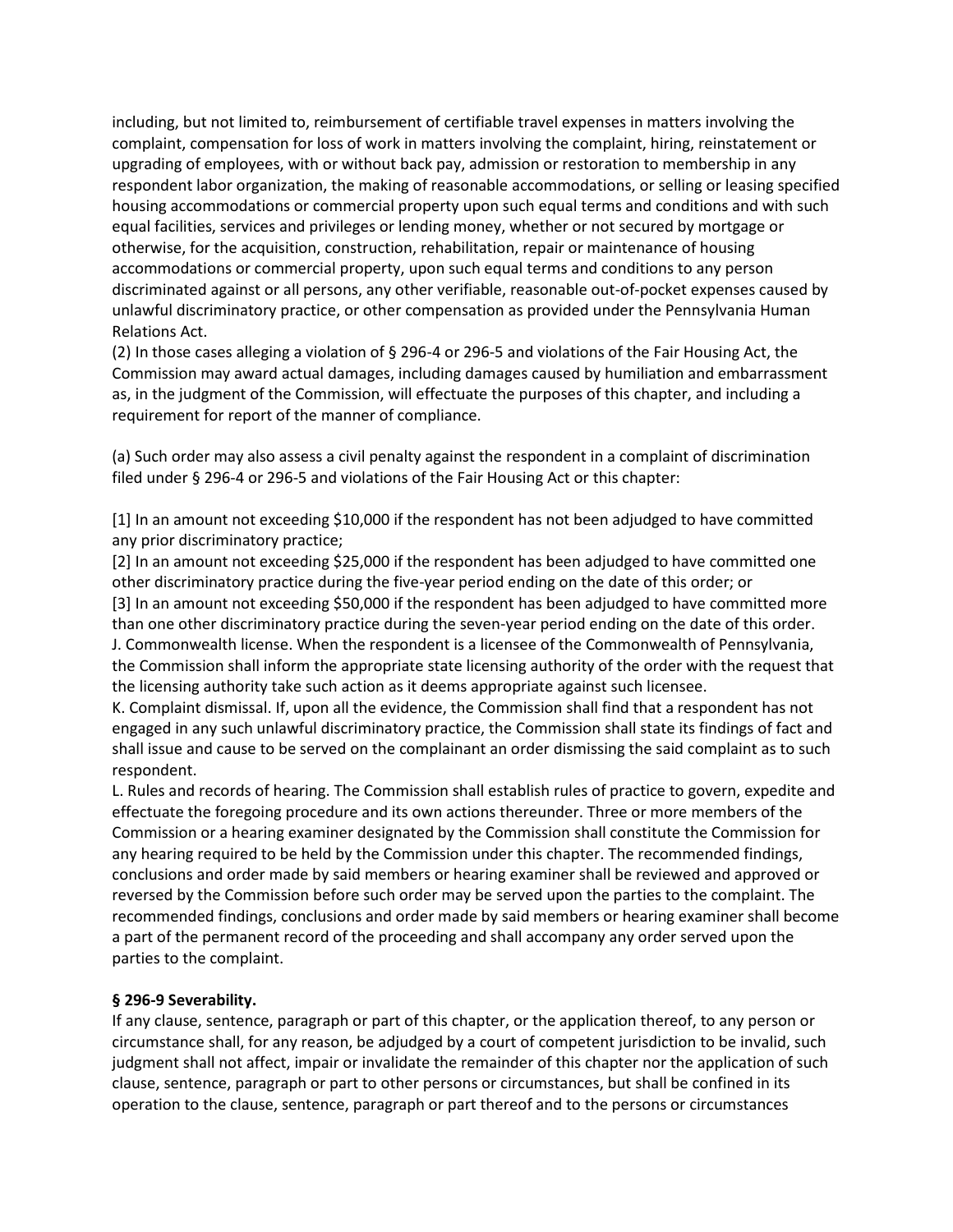including, but not limited to, reimbursement of certifiable travel expenses in matters involving the complaint, compensation for loss of work in matters involving the complaint, hiring, reinstatement or upgrading of employees, with or without back pay, admission or restoration to membership in any respondent labor organization, the making of reasonable accommodations, or selling or leasing specified housing accommodations or commercial property upon such equal terms and conditions and with such equal facilities, services and privileges or lending money, whether or not secured by mortgage or otherwise, for the acquisition, construction, rehabilitation, repair or maintenance of housing accommodations or commercial property, upon such equal terms and conditions to any person discriminated against or all persons, any other verifiable, reasonable out-of-pocket expenses caused by unlawful discriminatory practice, or other compensation as provided under the Pennsylvania Human Relations Act.

(2) In those cases alleging a violation of § 296-4 or 296-5 and violations of the Fair Housing Act, the Commission may award actual damages, including damages caused by humiliation and embarrassment as, in the judgment of the Commission, will effectuate the purposes of this chapter, and including a requirement for report of the manner of compliance.

(a) Such order may also assess a civil penalty against the respondent in a complaint of discrimination filed under § 296-4 or 296-5 and violations of the Fair Housing Act or this chapter:

[1] In an amount not exceeding \$10,000 if the respondent has not been adjudged to have committed any prior discriminatory practice;

[2] In an amount not exceeding \$25,000 if the respondent has been adjudged to have committed one other discriminatory practice during the five-year period ending on the date of this order; or [3] In an amount not exceeding \$50,000 if the respondent has been adjudged to have committed more than one other discriminatory practice during the seven-year period ending on the date of this order. J. Commonwealth license. When the respondent is a licensee of the Commonwealth of Pennsylvania, the Commission shall inform the appropriate state licensing authority of the order with the request that the licensing authority take such action as it deems appropriate against such licensee.

K. Complaint dismissal. If, upon all the evidence, the Commission shall find that a respondent has not engaged in any such unlawful discriminatory practice, the Commission shall state its findings of fact and shall issue and cause to be served on the complainant an order dismissing the said complaint as to such respondent.

L. Rules and records of hearing. The Commission shall establish rules of practice to govern, expedite and effectuate the foregoing procedure and its own actions thereunder. Three or more members of the Commission or a hearing examiner designated by the Commission shall constitute the Commission for any hearing required to be held by the Commission under this chapter. The recommended findings, conclusions and order made by said members or hearing examiner shall be reviewed and approved or reversed by the Commission before such order may be served upon the parties to the complaint. The recommended findings, conclusions and order made by said members or hearing examiner shall become a part of the permanent record of the proceeding and shall accompany any order served upon the parties to the complaint.

# **§ 296-9 Severability.**

If any clause, sentence, paragraph or part of this chapter, or the application thereof, to any person or circumstance shall, for any reason, be adjudged by a court of competent jurisdiction to be invalid, such judgment shall not affect, impair or invalidate the remainder of this chapter nor the application of such clause, sentence, paragraph or part to other persons or circumstances, but shall be confined in its operation to the clause, sentence, paragraph or part thereof and to the persons or circumstances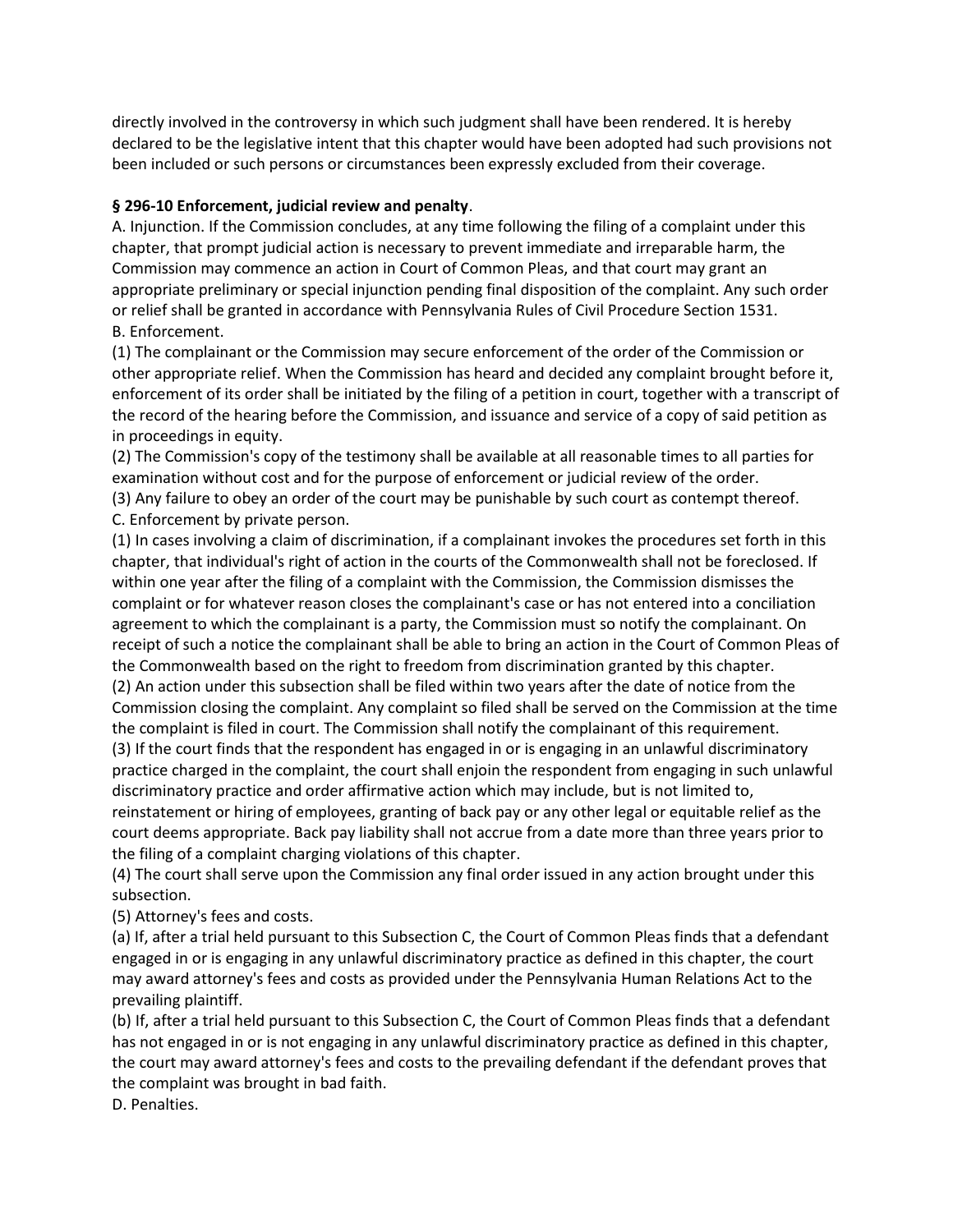directly involved in the controversy in which such judgment shall have been rendered. It is hereby declared to be the legislative intent that this chapter would have been adopted had such provisions not been included or such persons or circumstances been expressly excluded from their coverage.

# **§ 296-10 Enforcement, judicial review and penalty**.

A. Injunction. If the Commission concludes, at any time following the filing of a complaint under this chapter, that prompt judicial action is necessary to prevent immediate and irreparable harm, the Commission may commence an action in Court of Common Pleas, and that court may grant an appropriate preliminary or special injunction pending final disposition of the complaint. Any such order or relief shall be granted in accordance with Pennsylvania Rules of Civil Procedure Section 1531. B. Enforcement.

(1) The complainant or the Commission may secure enforcement of the order of the Commission or other appropriate relief. When the Commission has heard and decided any complaint brought before it, enforcement of its order shall be initiated by the filing of a petition in court, together with a transcript of the record of the hearing before the Commission, and issuance and service of a copy of said petition as in proceedings in equity.

(2) The Commission's copy of the testimony shall be available at all reasonable times to all parties for examination without cost and for the purpose of enforcement or judicial review of the order. (3) Any failure to obey an order of the court may be punishable by such court as contempt thereof.

C. Enforcement by private person.

(1) In cases involving a claim of discrimination, if a complainant invokes the procedures set forth in this chapter, that individual's right of action in the courts of the Commonwealth shall not be foreclosed. If within one year after the filing of a complaint with the Commission, the Commission dismisses the complaint or for whatever reason closes the complainant's case or has not entered into a conciliation agreement to which the complainant is a party, the Commission must so notify the complainant. On receipt of such a notice the complainant shall be able to bring an action in the Court of Common Pleas of the Commonwealth based on the right to freedom from discrimination granted by this chapter. (2) An action under this subsection shall be filed within two years after the date of notice from the Commission closing the complaint. Any complaint so filed shall be served on the Commission at the time the complaint is filed in court. The Commission shall notify the complainant of this requirement.

(3) If the court finds that the respondent has engaged in or is engaging in an unlawful discriminatory practice charged in the complaint, the court shall enjoin the respondent from engaging in such unlawful discriminatory practice and order affirmative action which may include, but is not limited to, reinstatement or hiring of employees, granting of back pay or any other legal or equitable relief as the court deems appropriate. Back pay liability shall not accrue from a date more than three years prior to the filing of a complaint charging violations of this chapter.

(4) The court shall serve upon the Commission any final order issued in any action brought under this subsection.

(5) Attorney's fees and costs.

(a) If, after a trial held pursuant to this Subsection C, the Court of Common Pleas finds that a defendant engaged in or is engaging in any unlawful discriminatory practice as defined in this chapter, the court may award attorney's fees and costs as provided under the Pennsylvania Human Relations Act to the prevailing plaintiff.

(b) If, after a trial held pursuant to this Subsection C, the Court of Common Pleas finds that a defendant has not engaged in or is not engaging in any unlawful discriminatory practice as defined in this chapter, the court may award attorney's fees and costs to the prevailing defendant if the defendant proves that the complaint was brought in bad faith.

D. Penalties.